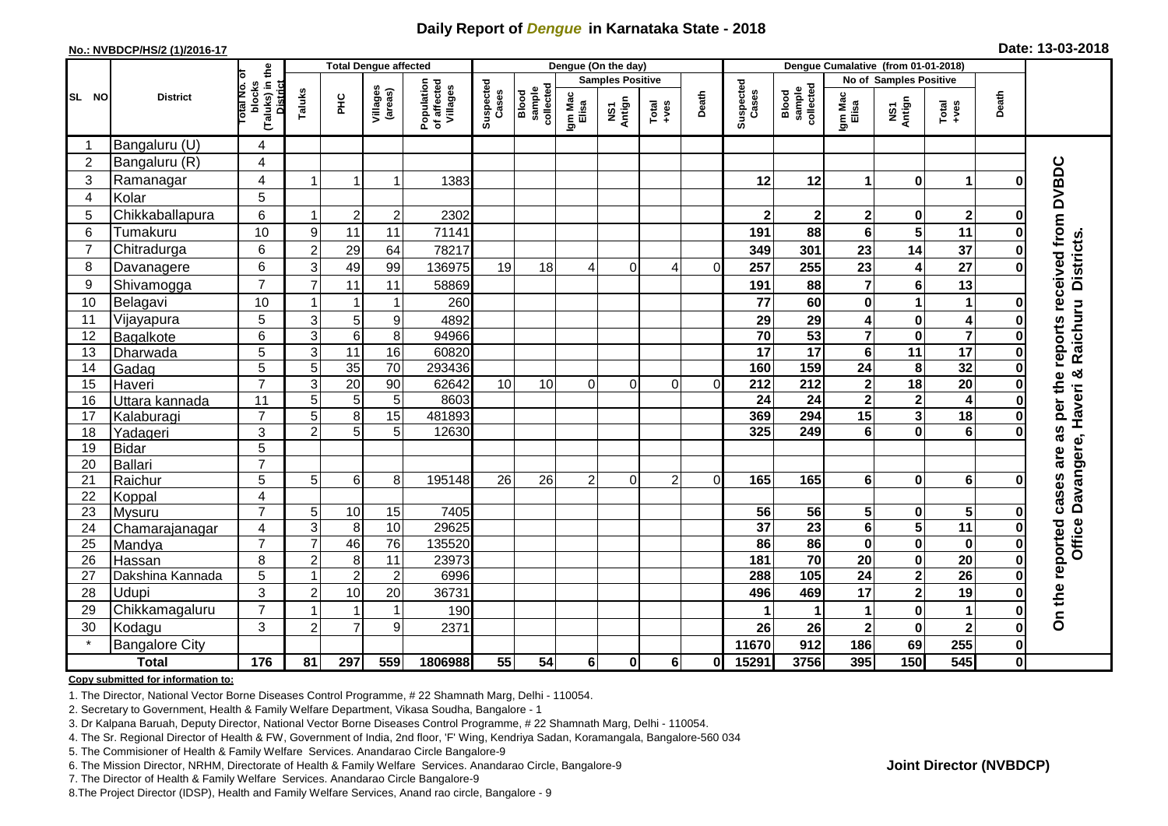## **Daily Report of** *Dengue* **in Karnataka State - 2018**

#### **No.: NVBDCP/HS/2 (1)/2016-17**

| Date: 13-03-2018 |  |  |  |  |
|------------------|--|--|--|--|
|------------------|--|--|--|--|

|                |                          |                                                    |                | <b>Total Dengue affected</b> |                     |                                       | Dengue (On the day) |                              |                  |                         |                |          |                    | Dengue Cumalative (from 01-01-2018) |                         |                                      |                                                              |              |                             |
|----------------|--------------------------|----------------------------------------------------|----------------|------------------------------|---------------------|---------------------------------------|---------------------|------------------------------|------------------|-------------------------|----------------|----------|--------------------|-------------------------------------|-------------------------|--------------------------------------|--------------------------------------------------------------|--------------|-----------------------------|
|                |                          | ৳                                                  |                |                              |                     |                                       |                     |                              |                  | <b>Samples Positive</b> |                |          |                    |                                     |                         | No of Samples Positive               |                                                              |              |                             |
| SL NO          | <b>District</b>          | (Taluks) in the<br>District<br>Total No.<br>blocks | Taluks         | FЮ                           | Villages<br>(areas) | Population<br>of affected<br>Villages | Suspected<br>Cases  | sample<br>collected<br>Blood | Igm Mac<br>Elisa | NS1<br>Antign           | Total<br>+ves  | Death    | Suspected<br>Cases | collected<br>Blood<br>sample        | Igm Mac<br>Elisa        | NS1<br>Antign                        | $\begin{array}{c}\n\text{Total} \\ \text{Area}\n\end{array}$ | Death        |                             |
| -1             | Bangaluru (U)            | 4                                                  |                |                              |                     |                                       |                     |                              |                  |                         |                |          |                    |                                     |                         |                                      |                                                              |              |                             |
| $\overline{2}$ | Bangaluru (R)            | $\overline{4}$                                     |                |                              |                     |                                       |                     |                              |                  |                         |                |          |                    |                                     |                         |                                      |                                                              |              |                             |
| 3              | Ramanagar                | 4                                                  |                |                              | 1                   | 1383                                  |                     |                              |                  |                         |                |          | 12                 | 12                                  | 1                       | $\bf{0}$                             | $\mathbf{1}$                                                 | በ            | reports received from DVBDC |
| $\overline{4}$ | Kolar                    | 5                                                  |                |                              |                     |                                       |                     |                              |                  |                         |                |          |                    |                                     |                         |                                      |                                                              |              |                             |
| 5              | Chikkaballapura          | 6                                                  | -1             | $\overline{2}$               | $\boldsymbol{2}$    | 2302                                  |                     |                              |                  |                         |                |          | $\mathbf{2}$       | $\mathbf 2$                         | 2                       | 0                                    | $\overline{\mathbf{2}}$                                      | 0            |                             |
| 6              | Tumakuru                 | 10                                                 | 9              | 11                           | 11                  | 71141                                 |                     |                              |                  |                         |                |          | 191                | 88                                  | 6                       | 5                                    | 11                                                           |              |                             |
| $\overline{7}$ | Chitradurga              | 6                                                  | $\overline{c}$ | 29                           | 64                  | 78217                                 |                     |                              |                  |                         |                |          | 349                | 301                                 | 23                      | 14                                   | 37                                                           |              |                             |
| 8              | Davanagere               | 6                                                  | 3              | 49                           | 99                  | 136975                                | 19                  | 18                           |                  | 0                       | 4              | $\Omega$ | 257                | 255                                 | 23                      | 4                                    | $\overline{27}$                                              |              |                             |
| 9              | Shivamogga               | $\overline{7}$                                     | $\overline{7}$ | 11                           | 11                  | 58869                                 |                     |                              |                  |                         |                |          | 191                | 88                                  | 7                       | $6\phantom{1}$                       | 13                                                           |              | <b>Districts</b>            |
| 10             | Belagavi                 | 10                                                 |                | -1                           | 1                   | 260                                   |                     |                              |                  |                         |                |          | 77                 | 60                                  | 0                       | 1                                    | 1                                                            |              |                             |
| 11             | Vijayapura               | 5                                                  | 3              | 5                            | 9                   | 4892                                  |                     |                              |                  |                         |                |          | 29                 | 29                                  | 4                       | $\mathbf 0$                          | 4                                                            |              | Raichuru                    |
| 12             | Bagalkote                | 6                                                  | $\overline{3}$ | $\overline{6}$               | 8                   | 94966                                 |                     |                              |                  |                         |                |          | $\overline{70}$    | 53                                  | $\overline{\mathbf{7}}$ | $\mathbf 0$                          | $\overline{\mathbf{7}}$                                      |              |                             |
| 13             | Dharwada                 | $\overline{5}$                                     | 3              | 11                           | 16                  | 60820                                 |                     |                              |                  |                         |                |          | $\overline{17}$    | $\overline{17}$                     | 6                       | $\overline{11}$                      | 17                                                           |              |                             |
| 14             | Gadag                    | 5                                                  | 5              | 35                           | 70                  | 293436                                |                     |                              |                  |                         |                |          | 160                | 159                                 | 24                      | 8                                    | 32                                                           |              |                             |
| 15             | Haveri                   | $\overline{7}$                                     | 3              | 20                           | 90                  | 62642                                 | 10                  | 10                           | $\Omega$         | 0                       | $\Omega$       | $\Omega$ | $\overline{212}$   | $\overline{212}$                    | $\mathbf{2}$            | 18                                   | $\overline{20}$                                              | በ            |                             |
| 16             | Uttara kannada           | 11                                                 | 5              | $\sqrt{5}$                   | $\sqrt{5}$          | 8603                                  |                     |                              |                  |                         |                |          | 24                 | 24                                  | 2                       | $\overline{\mathbf{2}}$              | 4                                                            |              | as per the                  |
| 17             | Kalaburagi               | $\overline{7}$                                     | 5              | 8                            | 15                  | 481893                                |                     |                              |                  |                         |                |          | 369                | 294                                 | 15                      | $\mathbf{3}$                         | $\overline{18}$                                              |              |                             |
| 18             | Yadageri                 | 3                                                  | $\overline{2}$ | 5                            | 5                   | 12630                                 |                     |                              |                  |                         |                |          | 325                | 249                                 | 6                       | $\mathbf 0$                          | $6\phantom{1}6$                                              |              |                             |
| 19             | <b>Bidar</b>             | 5                                                  |                |                              |                     |                                       |                     |                              |                  |                         |                |          |                    |                                     |                         |                                      |                                                              |              | are                         |
| 20             | Ballari                  | $\overline{7}$                                     |                |                              |                     |                                       |                     |                              |                  |                         |                |          |                    |                                     |                         |                                      |                                                              |              |                             |
| 21             | Raichur                  | 5                                                  | 5              | 6                            | 8                   | 195148                                | 26                  | 26                           | $\overline{2}$   | $\Omega$                | $\overline{2}$ | $\Omega$ | 165                | 165                                 | 6                       | $\bf{0}$                             | $6\phantom{a}$                                               |              |                             |
| 22             | Koppal                   | $\overline{4}$<br>$\overline{7}$                   |                |                              |                     |                                       |                     |                              |                  |                         |                |          | 56                 | 56                                  |                         |                                      | $\overline{\mathbf{5}}$                                      |              | cases                       |
| 23<br>24       | Mysuru                   | $\overline{4}$                                     | 5<br>3         | 10<br>8                      | 15<br>10            | 7405<br>29625                         |                     |                              |                  |                         |                |          | $\overline{37}$    | $\overline{23}$                     | 5<br>$6\phantom{a}$     | $\pmb{0}$<br>$\overline{\mathbf{5}}$ | 11                                                           | O            |                             |
| 25             | Chamarajanagar<br>Mandya | $\overline{7}$                                     | $\overline{7}$ | 46                           | 76                  | 135520                                |                     |                              |                  |                         |                |          | 86                 | 86                                  | $\bf{0}$                | $\pmb{0}$                            | $\mathbf 0$                                                  | $\bf{0}$     | Office Davangere, Haveri &  |
| 26             | Hassan                   | 8                                                  | $\overline{2}$ | 8                            | $\overline{11}$     | 23973                                 |                     |                              |                  |                         |                |          | 181                | 70                                  | 20                      | $\mathbf 0$                          | $\overline{20}$                                              | $\bf{0}$     |                             |
| 27             | Dakshina Kannada         | 5                                                  | -1             | $\overline{c}$               | $\overline{c}$      | 6996                                  |                     |                              |                  |                         |                |          | 288                | $\frac{1}{105}$                     | 24                      | $\overline{\mathbf{2}}$              | 26                                                           |              |                             |
| 28             | Udupi                    | 3                                                  | $\overline{c}$ | 10                           | 20                  | 36731                                 |                     |                              |                  |                         |                |          | 496                | 469                                 | 17                      | $\mathbf{2}$                         | 19                                                           |              |                             |
| 29             | Chikkamagaluru           | $\overline{7}$                                     |                |                              | $\mathbf{1}$        | 190                                   |                     |                              |                  |                         |                |          |                    |                                     | 1                       | $\pmb{0}$                            | $\blacktriangleleft$                                         | 0            | On the reported             |
| 30             | Kodagu                   | 3                                                  | $\overline{2}$ | $\overline{7}$               | 9                   | 2371                                  |                     |                              |                  |                         |                |          | 26                 | 26                                  | $\mathbf 2$             | $\mathbf 0$                          | $\mathbf{2}$                                                 | Ω            |                             |
|                | <b>Bangalore City</b>    |                                                    |                |                              |                     |                                       |                     |                              |                  |                         |                |          | 11670              | 912                                 | 186                     | 69                                   | 255                                                          | 0            |                             |
|                | <b>Total</b>             | 176                                                | 81             | 297                          | 559                 | 1806988                               | 55                  | 54                           | 6                | $\bf{0}$                | 6              | O        | 15291              | 3756                                | 395                     | 150                                  | 545                                                          | $\mathbf{0}$ |                             |

#### **Copy submitted for information to:**

1. The Director, National Vector Borne Diseases Control Programme, # 22 Shamnath Marg, Delhi - 110054.

2. Secretary to Government, Health & Family Welfare Department, Vikasa Soudha, Bangalore - 1

3. Dr Kalpana Baruah, Deputy Director, National Vector Borne Diseases Control Programme, # 22 Shamnath Marg, Delhi - 110054.

- 4. The Sr. Regional Director of Health & FW, Government of India, 2nd floor, 'F' Wing, Kendriya Sadan, Koramangala, Bangalore-560 034
- 5. The Commisioner of Health & Family Welfare Services. Anandarao Circle Bangalore-9
- 6. The Mission Director, NRHM, Directorate of Health & Family Welfare Services. Anandarao Circle, Bangalore-9

7. The Director of Health & Family Welfare Services. Anandarao Circle Bangalore-9

8. The Project Director (IDSP), Health and Family Welfare Services, Anand rao circle, Bangalore - 9